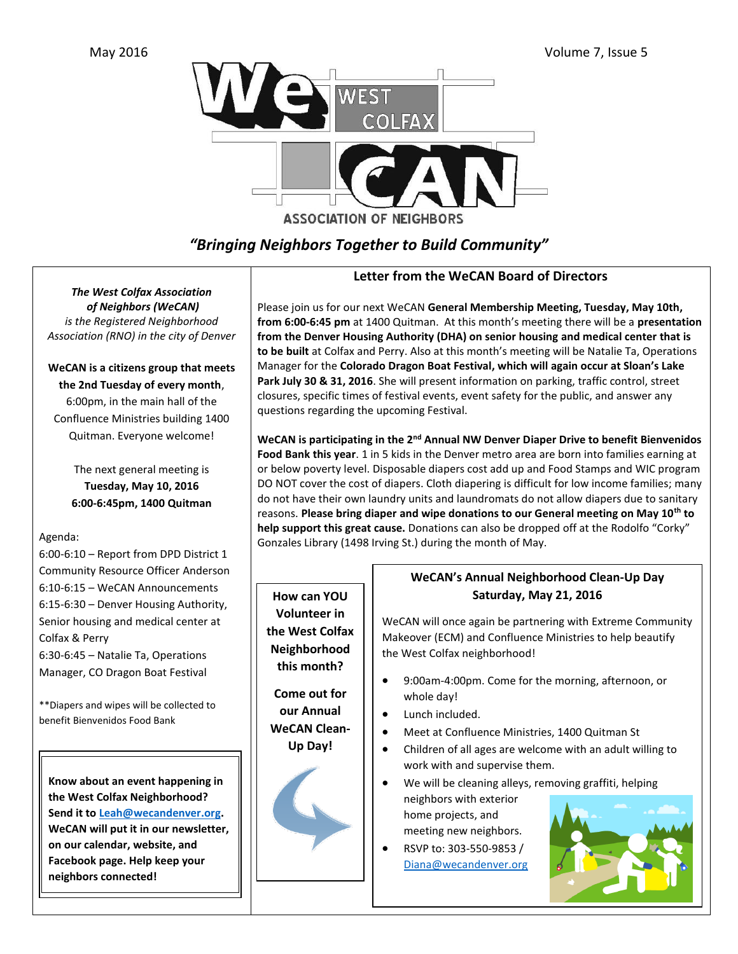

# *"Bringing Neighbors Together to Build Community"*

*The West Colfax Association of Neighbors (WeCAN) is the Registered Neighborhood Association (RNO) in the city of Denver* 

### **WeCAN is a citizens group that meets the 2nd Tuesday of every month**,

6:00pm, in the main hall of the Confluence Ministries building 1400 Quitman. Everyone welcome!

> The next general meeting is **Tuesday, May 10, 2016 6:00-6:45pm, 1400 Quitman**

### Agenda:

6:00-6:10 – Report from DPD District 1 Community Resource Officer Anderson 6:10-6:15 – WeCAN Announcements 6:15-6:30 – Denver Housing Authority, Senior housing and medical center at Colfax & Perry

6:30-6:45 – Natalie Ta, Operations Manager, CO Dragon Boat Festival

\*\*Diapers and wipes will be collected to benefit Bienvenidos Food Bank

**Know about an event happening in the West Colfax Neighborhood? Send it to [Leah@wecandenver.org.](mailto:Leah@wecandenver.org) WeCAN will put it in our newsletter, on our calendar, website, and Facebook page. Help keep your neighbors connected!** 

## **Letter from the WeCAN Board of Directors**

Please join us for our next WeCAN **General Membership Meeting, Tuesday, May 10th, from 6:00-6:45 pm** at 1400 Quitman. At this month's meeting there will be a **presentation from the Denver Housing Authority (DHA) on senior housing and medical center that is to be built** at Colfax and Perry. Also at this month's meeting will be Natalie Ta, Operations Manager for the **Colorado Dragon Boat Festival, which will again occur at Sloan's Lake Park July 30 & 31, 2016**. She will present information on parking, traffic control, street closures, specific times of festival events, event safety for the public, and answer any questions regarding the upcoming Festival.

**WeCAN is participating in the 2nd Annual NW Denver Diaper Drive to benefit Bienvenidos Food Bank this year**. 1 in 5 kids in the Denver metro area are born into families earning at or below poverty level. Disposable diapers cost add up and Food Stamps and WIC program DO NOT cover the cost of diapers. Cloth diapering is difficult for low income families; many do not have their own laundry units and laundromats do not allow diapers due to sanitary reasons. **Please bring diaper and wipe donations to our General meeting on May 10th to help support this great cause.** Donations can also be dropped off at the Rodolfo "Corky" Gonzales Library (1498 Irving St.) during the month of May.



### **WeCAN's Annual Neighborhood Clean-Up Day Saturday, May 21, 2016**

WeCAN will once again be partnering with Extreme Community Makeover (ECM) and Confluence Ministries to help beautify the West Colfax neighborhood!

- 9:00am-4:00pm. Come for the morning, afternoon, or whole day!
- Lunch included.
- Meet at Confluence Ministries, 1400 Quitman St
- Children of all ages are welcome with an adult willing to work with and supervise them.
- We will be cleaning alleys, removing graffiti, helping neighbors with exterior home projects, and meeting new neighbors.
- RSVP to: 303-550-9853 / [Diana@wecandenver.org](mailto:Diana@wecandenver.org)